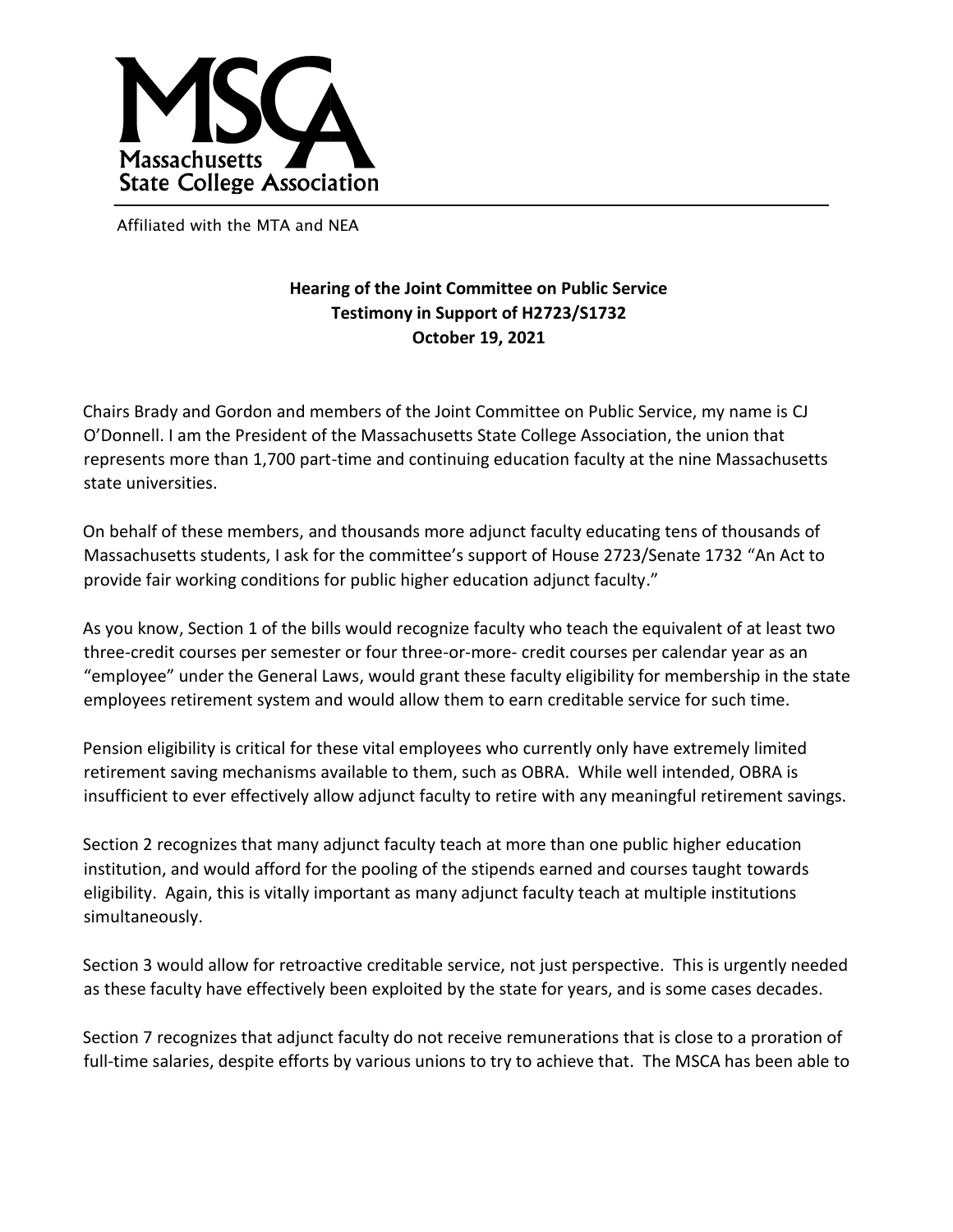

Affiliated with the MTA and NEA

## **Hearing of the Joint Committee on Public Service Testimony in Support of H2723/S1732 October 19, 2021**

Chairs Brady and Gordon and members of the Joint Committee on Public Service, my name is CJ O'Donnell. I am the President of the Massachusetts State College Association, the union that represents more than 1,700 part-time and continuing education faculty at the nine Massachusetts state universities.

On behalf of these members, and thousands more adjunct faculty educating tens of thousands of Massachusetts students, I ask for the committee's support of House 2723/Senate 1732 "An Act to provide fair working conditions for public higher education adjunct faculty."

As you know, Section 1 of the bills would recognize faculty who teach the equivalent of at least two three-credit courses per semester or four three-or-more- credit courses per calendar year as an "employee" under the General Laws, would grant these faculty eligibility for membership in the state employees retirement system and would allow them to earn creditable service for such time.

Pension eligibility is critical for these vital employees who currently only have extremely limited retirement saving mechanisms available to them, such as OBRA. While well intended, OBRA is insufficient to ever effectively allow adjunct faculty to retire with any meaningful retirement savings.

Section 2 recognizes that many adjunct faculty teach at more than one public higher education institution, and would afford for the pooling of the stipends earned and courses taught towards eligibility. Again, this is vitally important as many adjunct faculty teach at multiple institutions simultaneously.

Section 3 would allow for retroactive creditable service, not just perspective. This is urgently needed as these faculty have effectively been exploited by the state for years, and is some cases decades.

Section 7 recognizes that adjunct faculty do not receive remunerations that is close to a proration of full-time salaries, despite efforts by various unions to try to achieve that. The MSCA has been able to